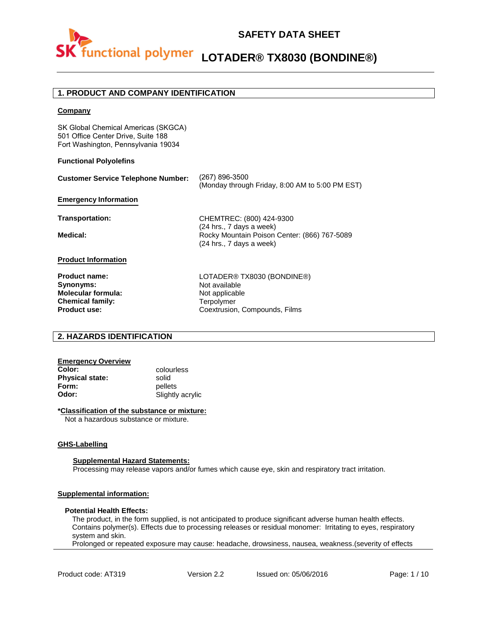

#### **1. PRODUCT AND COMPANY IDENTIFICATION**

#### **Company**

SK Global Chemical Americas (SKGCA) 501 Office Center Drive, Suite 188 Fort Washington, Pennsylvania 19034

#### **Functional Polyolefins**

| <b>Customer Service Telephone Number:</b> | (267) 896-3500<br>(Monday through Friday, 8:00 AM to 5:00 PM EST)                                    |
|-------------------------------------------|------------------------------------------------------------------------------------------------------|
| <b>Emergency Information</b>              |                                                                                                      |
| Transportation:                           | CHEMTREC: (800) 424-9300                                                                             |
| <b>Medical:</b>                           | (24 hrs., 7 days a week)<br>Rocky Mountain Poison Center: (866) 767-5089<br>(24 hrs., 7 days a week) |
| <b>Product Information</b>                |                                                                                                      |
| <b>Product name:</b>                      | LOTADER® TX8030 (BONDINE®)                                                                           |
| Synonyms:                                 | Not available                                                                                        |
| <b>Molecular formula:</b>                 | Not applicable                                                                                       |
| <b>Chemical family:</b>                   | Terpolymer                                                                                           |

#### **2. HAZARDS IDENTIFICATION**

## **Emergency Overview**

**Physical state:** solid **Form:** pellets<br> **Odor:** Slightly

**Product use:**

**Color:** colourless **Odor:** Slightly acrylic

#### **\*Classification of the substance or mixture:**

Not a hazardous substance or mixture.

#### **GHS-Labelling**

#### **Supplemental Hazard Statements:**

Processing may release vapors and/or fumes which cause eye, skin and respiratory tract irritation.

#### **Supplemental information:**

#### **Potential Health Effects:**

The product, in the form supplied, is not anticipated to produce significant adverse human health effects. Contains polymer(s). Effects due to processing releases or residual monomer: Irritating to eyes, respiratory system and skin.

Coextrusion, Compounds, Films

Prolonged or repeated exposure may cause: headache, drowsiness, nausea, weakness.(severity of effects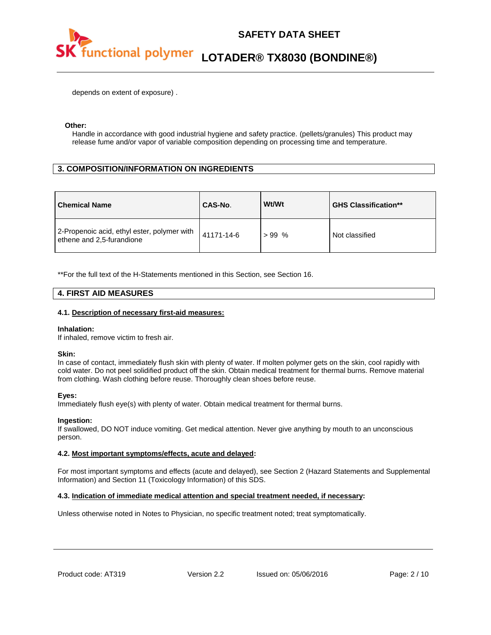

depends on extent of exposure) .

#### **Other:**

Handle in accordance with good industrial hygiene and safety practice. (pellets/granules) This product may release fume and/or vapor of variable composition depending on processing time and temperature.

#### **3. COMPOSITION/INFORMATION ON INGREDIENTS**

| <b>Chemical Name</b>                                                     | CAS-No.    | Wt/Wt   | <b>GHS Classification**</b> |
|--------------------------------------------------------------------------|------------|---------|-----------------------------|
| 2-Propenoic acid, ethyl ester, polymer with<br>ethene and 2,5-furandione | 41171-14-6 | $>99\%$ | Not classified              |

\*\*For the full text of the H-Statements mentioned in this Section, see Section 16.

#### **4. FIRST AID MEASURES**

#### **4.1. Description of necessary first-aid measures:**

#### **Inhalation:**

If inhaled, remove victim to fresh air.

#### **Skin:**

In case of contact, immediately flush skin with plenty of water. If molten polymer gets on the skin, cool rapidly with cold water. Do not peel solidified product off the skin. Obtain medical treatment for thermal burns. Remove material from clothing. Wash clothing before reuse. Thoroughly clean shoes before reuse.

#### **Eyes:**

Immediately flush eye(s) with plenty of water. Obtain medical treatment for thermal burns.

#### **Ingestion:**

If swallowed, DO NOT induce vomiting. Get medical attention. Never give anything by mouth to an unconscious person.

#### **4.2. Most important symptoms/effects, acute and delayed:**

For most important symptoms and effects (acute and delayed), see Section 2 (Hazard Statements and Supplemental Information) and Section 11 (Toxicology Information) of this SDS.

#### **4.3. Indication of immediate medical attention and special treatment needed, if necessary:**

Unless otherwise noted in Notes to Physician, no specific treatment noted; treat symptomatically.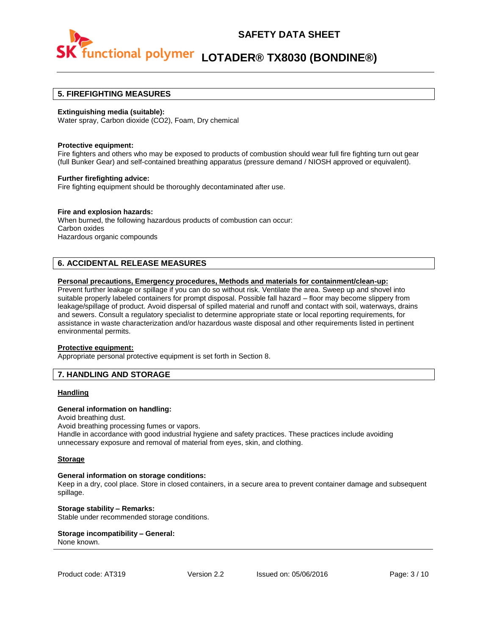

#### **5. FIREFIGHTING MEASURES**

#### **Extinguishing media (suitable):**

Water spray, Carbon dioxide (CO2), Foam, Dry chemical

#### **Protective equipment:**

Fire fighters and others who may be exposed to products of combustion should wear full fire fighting turn out gear (full Bunker Gear) and self-contained breathing apparatus (pressure demand / NIOSH approved or equivalent).

#### **Further firefighting advice:**

Fire fighting equipment should be thoroughly decontaminated after use.

#### **Fire and explosion hazards:**

When burned, the following hazardous products of combustion can occur: Carbon oxides Hazardous organic compounds

#### **6. ACCIDENTAL RELEASE MEASURES**

#### **Personal precautions, Emergency procedures, Methods and materials for containment/clean-up:**

Prevent further leakage or spillage if you can do so without risk. Ventilate the area. Sweep up and shovel into suitable properly labeled containers for prompt disposal. Possible fall hazard – floor may become slippery from leakage/spillage of product. Avoid dispersal of spilled material and runoff and contact with soil, waterways, drains and sewers. Consult a regulatory specialist to determine appropriate state or local reporting requirements, for assistance in waste characterization and/or hazardous waste disposal and other requirements listed in pertinent environmental permits.

#### **Protective equipment:**

Appropriate personal protective equipment is set forth in Section 8.

#### **7. HANDLING AND STORAGE**

#### **Handling**

#### **General information on handling:**

Avoid breathing dust.

Avoid breathing processing fumes or vapors.

Handle in accordance with good industrial hygiene and safety practices. These practices include avoiding unnecessary exposure and removal of material from eyes, skin, and clothing.

#### **Storage**

#### **General information on storage conditions:**

Keep in a dry, cool place. Store in closed containers, in a secure area to prevent container damage and subsequent spillage.

**Storage stability – Remarks:**  Stable under recommended storage conditions.

#### **Storage incompatibility – General:**  None known.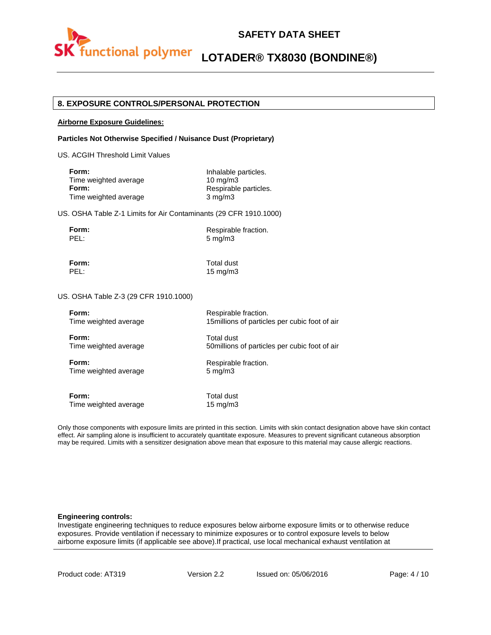

### **SAFETY DATA SHEET**

# **LOTADER® TX8030 (BONDINE®)**

#### **8. EXPOSURE CONTROLS/PERSONAL PROTECTION**

#### **Airborne Exposure Guidelines:**

#### **Particles Not Otherwise Specified / Nuisance Dust (Proprietary)**

US. ACGIH Threshold Limit Values

| Inhalable particles.  |
|-----------------------|
| $10 \text{ ma/m}$ 3   |
| Respirable particles. |
| $3 \text{ mg/m}$      |
|                       |

US. OSHA Table Z-1 Limits for Air Contaminants (29 CFR 1910.1000)

| ı<br>г<br>۰. |  |
|--------------|--|
|              |  |

**Form:** Respirable fraction. 5 mg/m3

**Form:** Total dust

PEL: 15 mg/m3

US. OSHA Table Z-3 (29 CFR 1910.1000)

| Form:                 | Respirable fraction.                           |
|-----------------------|------------------------------------------------|
| Time weighted average | 15 millions of particles per cubic foot of air |
| Form:                 | Total dust                                     |
| Time weighted average | 50 millions of particles per cubic foot of air |
| Form:                 | Respirable fraction.                           |
| Time weighted average | $5 \text{ mg/m}$                               |
| Form:                 | Total dust                                     |
| Time weighted average | $15 \text{ mg/m}$                              |

Only those components with exposure limits are printed in this section. Limits with skin contact designation above have skin contact effect. Air sampling alone is insufficient to accurately quantitate exposure. Measures to prevent significant cutaneous absorption may be required. Limits with a sensitizer designation above mean that exposure to this material may cause allergic reactions.

#### **Engineering controls:**

Investigate engineering techniques to reduce exposures below airborne exposure limits or to otherwise reduce exposures. Provide ventilation if necessary to minimize exposures or to control exposure levels to below airborne exposure limits (if applicable see above).If practical, use local mechanical exhaust ventilation at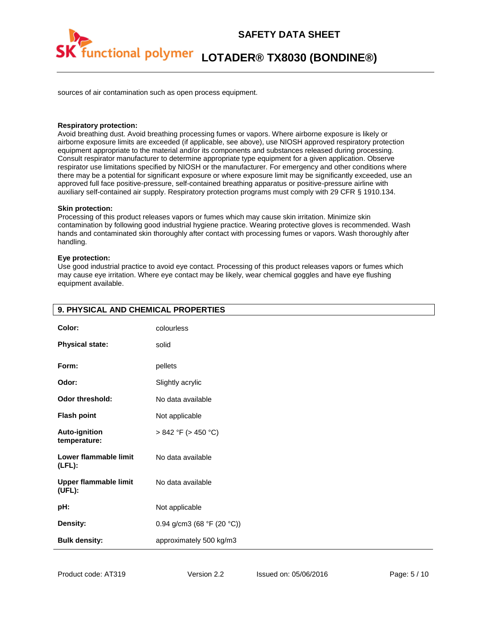

sources of air contamination such as open process equipment.

#### **Respiratory protection:**

Avoid breathing dust. Avoid breathing processing fumes or vapors. Where airborne exposure is likely or airborne exposure limits are exceeded (if applicable, see above), use NIOSH approved respiratory protection equipment appropriate to the material and/or its components and substances released during processing. Consult respirator manufacturer to determine appropriate type equipment for a given application. Observe respirator use limitations specified by NIOSH or the manufacturer. For emergency and other conditions where there may be a potential for significant exposure or where exposure limit may be significantly exceeded, use an approved full face positive-pressure, self-contained breathing apparatus or positive-pressure airline with auxiliary self-contained air supply. Respiratory protection programs must comply with 29 CFR § 1910.134.

#### **Skin protection:**

Processing of this product releases vapors or fumes which may cause skin irritation. Minimize skin contamination by following good industrial hygiene practice. Wearing protective gloves is recommended. Wash hands and contaminated skin thoroughly after contact with processing fumes or vapors. Wash thoroughly after handling.

#### **Eye protection:**

Use good industrial practice to avoid eye contact. Processing of this product releases vapors or fumes which may cause eye irritation. Where eye contact may be likely, wear chemical goggles and have eye flushing equipment available.

| 9. PHYSICAL AND CHEMICAL PROPERTIES    |                            |
|----------------------------------------|----------------------------|
| Color:                                 | colourless                 |
| <b>Physical state:</b>                 | solid                      |
| Form:                                  | pellets                    |
| Odor:                                  | Slightly acrylic           |
| Odor threshold:                        | No data available          |
| <b>Flash point</b>                     | Not applicable             |
| Auto-ignition<br>temperature:          | $> 842$ °F ( $> 450$ °C)   |
| Lower flammable limit<br>$(LFL)$ :     | No data available          |
| <b>Upper flammable limit</b><br>(UFL): | No data available          |
| pH:                                    | Not applicable             |
| Density:                               | 0.94 g/cm3 (68 °F (20 °C)) |
| <b>Bulk density:</b>                   | approximately 500 kg/m3    |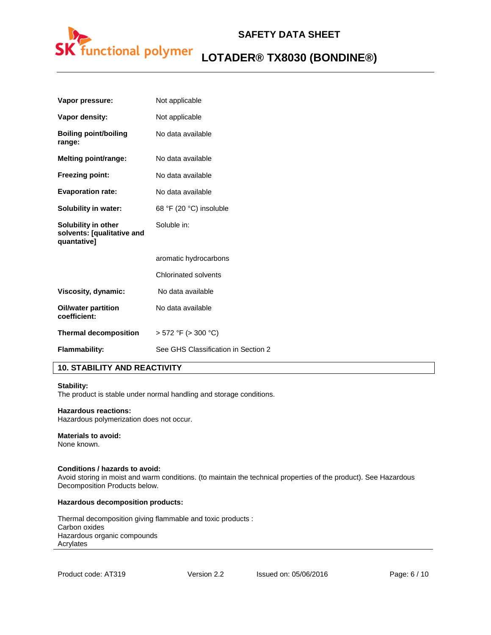

| Not applicable                      |
|-------------------------------------|
| Not applicable                      |
| No data available                   |
| No data available                   |
| No data available                   |
| No data available                   |
| 68 °F (20 °C) insoluble             |
| Soluble in:                         |
| aromatic hydrocarbons               |
| <b>Chlorinated solvents</b>         |
| No data available                   |
| No data available                   |
| $>$ 572 °F ( $>$ 300 °C)            |
| See GHS Classification in Section 2 |
|                                     |

#### **10. STABILITY AND REACTIVITY**

#### **Stability:**

The product is stable under normal handling and storage conditions.

#### **Hazardous reactions:**

Hazardous polymerization does not occur.

#### **Materials to avoid:**

None known.

#### **Conditions / hazards to avoid:**

Avoid storing in moist and warm conditions. (to maintain the technical properties of the product). See Hazardous Decomposition Products below.

#### **Hazardous decomposition products:**

Thermal decomposition giving flammable and toxic products : Carbon oxides Hazardous organic compounds Acrylates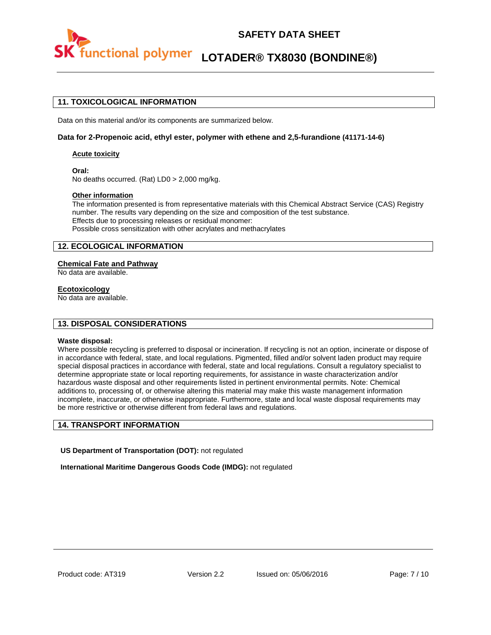

### **SAFETY DATA SHEET**

# **LOTADER® TX8030 (BONDINE®)**

#### **11. TOXICOLOGICAL INFORMATION**

Data on this material and/or its components are summarized below.

#### **Data for 2-Propenoic acid, ethyl ester, polymer with ethene and 2,5-furandione (41171-14-6)**

#### **Acute toxicity**

**Oral:** No deaths occurred. (Rat) LD0 > 2,000 mg/kg.

#### **Other information**

The information presented is from representative materials with this Chemical Abstract Service (CAS) Registry number. The results vary depending on the size and composition of the test substance. Effects due to processing releases or residual monomer: Possible cross sensitization with other acrylates and methacrylates

#### **12. ECOLOGICAL INFORMATION**

#### **Chemical Fate and Pathway**

No data are available.

#### **Ecotoxicology**

No data are available.

#### **13. DISPOSAL CONSIDERATIONS**

#### **Waste disposal:**

Where possible recycling is preferred to disposal or incineration. If recycling is not an option, incinerate or dispose of in accordance with federal, state, and local regulations. Pigmented, filled and/or solvent laden product may require special disposal practices in accordance with federal, state and local regulations. Consult a regulatory specialist to determine appropriate state or local reporting requirements, for assistance in waste characterization and/or hazardous waste disposal and other requirements listed in pertinent environmental permits. Note: Chemical additions to, processing of, or otherwise altering this material may make this waste management information incomplete, inaccurate, or otherwise inappropriate. Furthermore, state and local waste disposal requirements may be more restrictive or otherwise different from federal laws and regulations.

#### **14. TRANSPORT INFORMATION**

**US Department of Transportation (DOT):** not regulated

**International Maritime Dangerous Goods Code (IMDG):** not regulated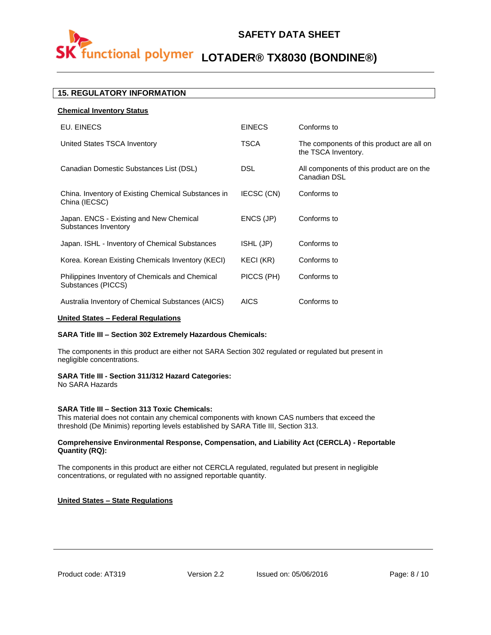## **SAFETY DATA SHEET**



## **LOTADER® TX8030 (BONDINE®)**

#### **15. REGULATORY INFORMATION**

**Chemical Inventory Status**

| <b>EINECS</b> | Conforms to                                                      |
|---------------|------------------------------------------------------------------|
| <b>TSCA</b>   | The components of this product are all on<br>the TSCA Inventory. |
| <b>DSL</b>    | All components of this product are on the<br>Canadian DSL        |
| IECSC (CN)    | Conforms to                                                      |
| ENCS (JP)     | Conforms to                                                      |
| ISHL (JP)     | Conforms to                                                      |
| KECI (KR)     | Conforms to                                                      |
| PICCS (PH)    | Conforms to                                                      |
| <b>AICS</b>   | Conforms to                                                      |
|               |                                                                  |

#### **United States – Federal Regulations**

#### **SARA Title III – Section 302 Extremely Hazardous Chemicals:**

The components in this product are either not SARA Section 302 regulated or regulated but present in negligible concentrations.

#### **SARA Title III - Section 311/312 Hazard Categories:**

No SARA Hazards

#### **SARA Title III – Section 313 Toxic Chemicals:**

This material does not contain any chemical components with known CAS numbers that exceed the threshold (De Minimis) reporting levels established by SARA Title III, Section 313.

#### **Comprehensive Environmental Response, Compensation, and Liability Act (CERCLA) - Reportable Quantity (RQ):**

The components in this product are either not CERCLA regulated, regulated but present in negligible concentrations, or regulated with no assigned reportable quantity.

#### **United States – State Regulations**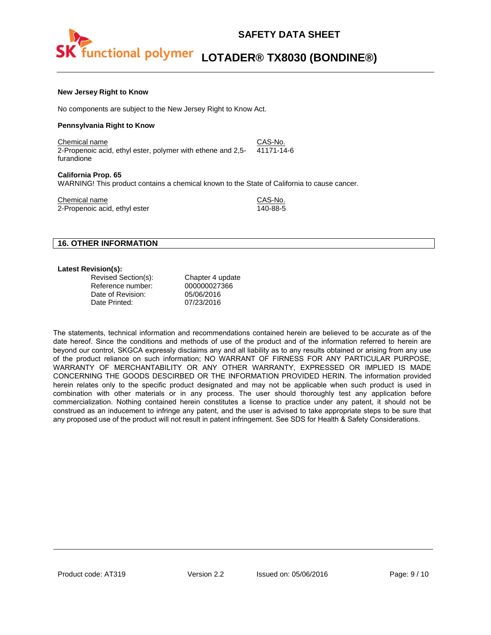#### **New Jersey Right to Know**

No components are subject to the New Jersey Right to Know Act.

#### **Pennsylvania Right to Know**

Chemical name CAS-No. 2-Propenoic acid, ethyl ester, polymer with ethene and 2,5 furandione 41171-14-6

#### **California Prop. 65**

WARNING! This product contains a chemical known to the State of California to cause cancer.

Chemical name<br>
2-Propenoic acid. ethyl ester<br>
2-Propenoic acid. ethyl ester 2-Propenoic acid, ethyl ester

#### **16. OTHER INFORMATION**

#### **Latest Revision(s):**

| Revised Section(s): | Chapter 4 update |
|---------------------|------------------|
| Reference number:   | 000000027366     |
| Date of Revision:   | 05/06/2016       |
| Date Printed:       | 07/23/2016       |

The statements, technical information and recommendations contained herein are believed to be accurate as of the date hereof. Since the conditions and methods of use of the product and of the information referred to herein are beyond our control, SKGCA expressly disclaims any and all liability as to any results obtained or arising from any use of the product reliance on such information; NO WARRANT OF FIRNESS FOR ANY PARTICULAR PURPOSE, WARRANTY OF MERCHANTABILITY OR ANY OTHER WARRANTY, EXPRESSED OR IMPLIED IS MADE CONCERNING THE GOODS DESCIRBED OR THE INFORMATION PROVIDED HERIN. The information provided herein relates only to the specific product designated and may not be applicable when such product is used in combination with other materials or in any process. The user should thoroughly test any application before commercialization. Nothing contained herein constitutes a license to practice under any patent, it should not be construed as an inducement to infringe any patent, and the user is advised to take appropriate steps to be sure that any proposed use of the product will not result in patent infringement. See SDS for Health & Safety Considerations.